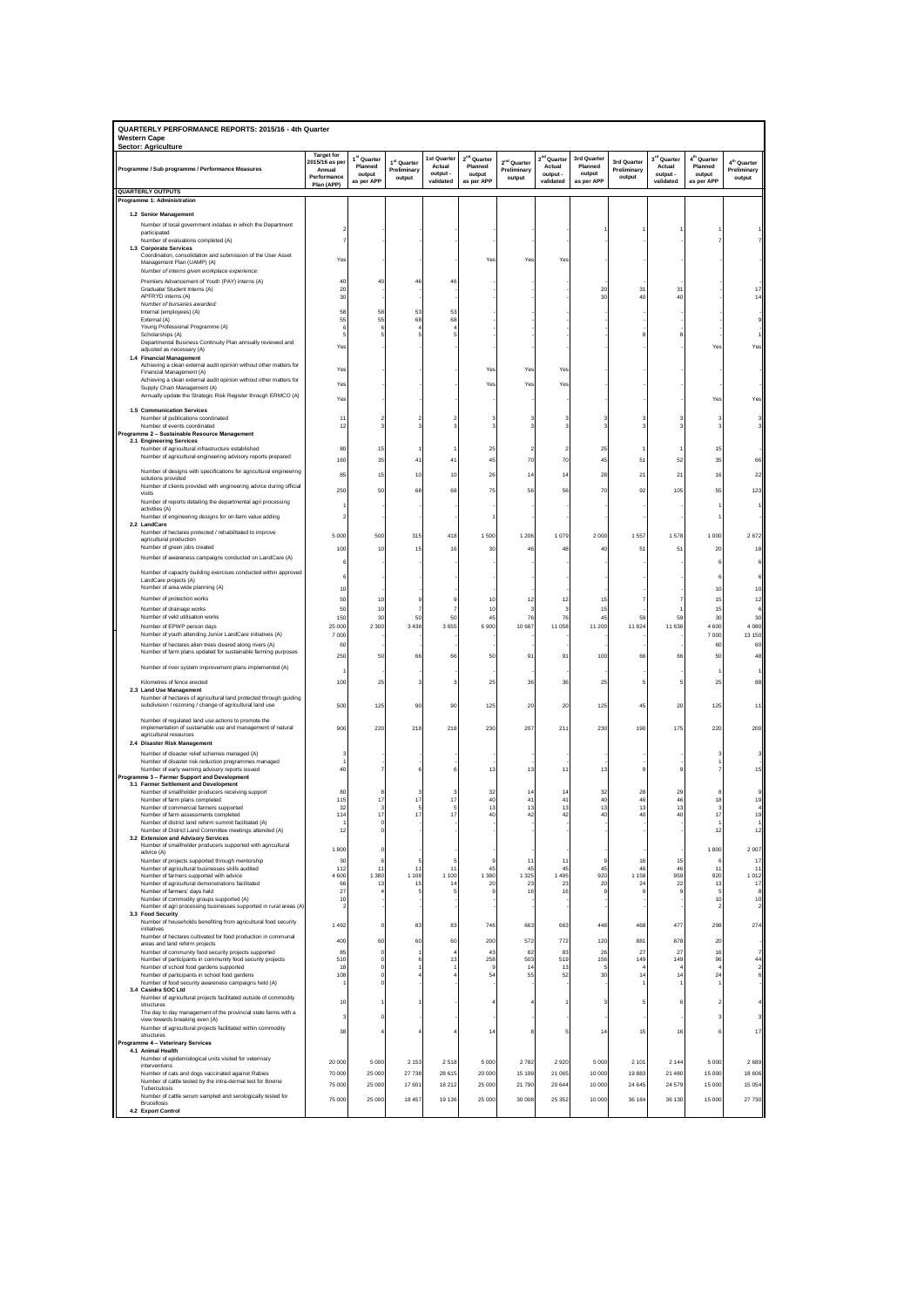| QUARTERLY PERFORMANCE REPORTS: 2015/16 - 4th Quarter<br><b>Western Cape</b><br><b>Sector: Agriculture</b>          |                                                                           |                                                            |                                      |                                                |                                                            |                                                  |                                                            |                                                |                                      |                                                            |                                                            |                                                  |
|--------------------------------------------------------------------------------------------------------------------|---------------------------------------------------------------------------|------------------------------------------------------------|--------------------------------------|------------------------------------------------|------------------------------------------------------------|--------------------------------------------------|------------------------------------------------------------|------------------------------------------------|--------------------------------------|------------------------------------------------------------|------------------------------------------------------------|--------------------------------------------------|
| Programme / Sub programme / Performance Measures                                                                   | <b>Target for</b><br>2015/16 as pe<br>Annual<br>Performance<br>Plan (APP) | 1 <sup>st</sup> Quarter<br>Planned<br>output<br>as per APP | 1st Quarter<br>Preliminary<br>output | 1st Quarter<br>Actual<br>output -<br>validated | 2 <sup>nd</sup> Quarter<br>Planned<br>output<br>as per APP | 2 <sup>nd</sup> Quarter<br>Preliminary<br>output | 2 <sup>nd</sup> Quarter<br>Actual<br>output -<br>validated | 3rd Quarter<br>Planned<br>output<br>as per APP | 3rd Quarter<br>Preliminary<br>output | 3 <sup>rd</sup> Quarter<br>Actual<br>output -<br>validated | 4 <sup>th</sup> Quarter<br>Planned<br>output<br>as per APP | 4 <sup>th</sup> Quarter<br>Preliminary<br>output |
| <b>QUARTERLY OUTPUTS</b><br>Programme 1: Administration                                                            |                                                                           |                                                            |                                      |                                                |                                                            |                                                  |                                                            |                                                |                                      |                                                            |                                                            |                                                  |
| 1.2 Senior Management                                                                                              |                                                                           |                                                            |                                      |                                                |                                                            |                                                  |                                                            |                                                |                                      |                                                            |                                                            |                                                  |
| Number of local government indabas in which the Department                                                         |                                                                           |                                                            |                                      |                                                |                                                            |                                                  |                                                            |                                                |                                      |                                                            |                                                            |                                                  |
| participated<br>Number of evaluations completed (A)                                                                |                                                                           |                                                            |                                      |                                                |                                                            |                                                  |                                                            |                                                |                                      |                                                            |                                                            |                                                  |
| 1.3 Corporate Services<br>Coordination, consolidation and submission of the User Asset                             |                                                                           |                                                            |                                      |                                                |                                                            |                                                  |                                                            |                                                |                                      |                                                            |                                                            |                                                  |
| Management Plan (UAMP) (A)<br>Number of interns given workplace experience:                                        | Ye                                                                        |                                                            |                                      |                                                | Yes                                                        | Ye                                               | Ye                                                         |                                                |                                      |                                                            |                                                            |                                                  |
| Premiers Advancement of Youth (PAY) interns (A)                                                                    | 40                                                                        | 40                                                         | 46                                   | 46                                             |                                                            |                                                  |                                                            |                                                |                                      |                                                            |                                                            |                                                  |
| Graduate/ Student Interns (A)<br>APFRYD interns (A)                                                                | 20<br>30                                                                  |                                                            |                                      |                                                |                                                            |                                                  |                                                            | $\alpha$<br>$\overline{3}$                     | 31<br>4 <sup>c</sup>                 | 31<br>40                                                   |                                                            |                                                  |
| Number of bursaries awarded:<br>Internal (employees) (A)                                                           | 58                                                                        | 58                                                         | 53                                   | 53                                             |                                                            |                                                  |                                                            |                                                |                                      |                                                            |                                                            |                                                  |
| External (A)<br>Young Professional Programme (A)                                                                   | 55<br>-6                                                                  | 55                                                         | 68                                   | 68                                             |                                                            |                                                  |                                                            |                                                |                                      |                                                            |                                                            |                                                  |
| Scholarships (A)                                                                                                   | 5                                                                         |                                                            |                                      |                                                |                                                            |                                                  |                                                            |                                                |                                      |                                                            |                                                            |                                                  |
| Departmental Business Continuity Plan annually reviewed and<br>adjusted as necessary (A)                           | Yes                                                                       |                                                            |                                      |                                                |                                                            |                                                  |                                                            |                                                |                                      |                                                            | Yes                                                        | Yes                                              |
| 1.4 Financial Management<br>Achieving a clean external audit opinion without other matters for                     |                                                                           |                                                            |                                      |                                                |                                                            |                                                  |                                                            |                                                |                                      |                                                            |                                                            |                                                  |
| Financial Management (A)<br>Achieving a clean external audit opinion without other matters for                     | Yes                                                                       |                                                            |                                      |                                                | Yes                                                        | Yes                                              | Yet                                                        |                                                |                                      |                                                            |                                                            |                                                  |
| Supply Chain Management (A)                                                                                        | Ye:                                                                       |                                                            |                                      |                                                | Yes                                                        | Ye                                               | Ye                                                         |                                                |                                      |                                                            |                                                            |                                                  |
| Annually update the Strategic Risk Register through ERMCO (A)                                                      | Yes                                                                       |                                                            |                                      |                                                |                                                            |                                                  |                                                            |                                                |                                      |                                                            | Yes                                                        | Yes                                              |
| 1.5 Communication Services<br>Number of publications coordinated                                                   | $1^{\circ}$                                                               |                                                            |                                      |                                                |                                                            |                                                  |                                                            |                                                |                                      |                                                            | з                                                          |                                                  |
| Number of events coordinated<br>Programme 2 - Sustainable Resource Management                                      | 12                                                                        |                                                            |                                      |                                                |                                                            |                                                  |                                                            |                                                |                                      |                                                            |                                                            |                                                  |
| 2.1 Engineering Services<br>Number of agricultural infrastructure established                                      | 80                                                                        | 15                                                         |                                      |                                                | 25                                                         |                                                  |                                                            | 25                                             |                                      |                                                            | 15                                                         |                                                  |
| Number of agricultural engineering advisory reports prepared                                                       | 160                                                                       | 35                                                         | 41                                   | 41                                             | 45                                                         | 70                                               | 7 <sup>c</sup>                                             | 45                                             | 51                                   | 52                                                         | 35                                                         |                                                  |
| Number of designs with specifications for agricultural engineering                                                 | 85                                                                        | 15                                                         | 10                                   | 10                                             | 26                                                         | 14                                               | 14                                                         | 28                                             | 21                                   | 21                                                         | 16                                                         | 22                                               |
| solutions provided<br>Number of clients provided with engineering advice during official                           |                                                                           |                                                            |                                      |                                                |                                                            | 56                                               | 56                                                         |                                                |                                      |                                                            | 55                                                         |                                                  |
| visits<br>Number of reports detailing the departmental agri processing                                             | 250                                                                       | 50                                                         | 68                                   | 68                                             | 75                                                         |                                                  |                                                            | 70                                             | 92                                   | 105                                                        |                                                            | 123                                              |
| activities (A)                                                                                                     |                                                                           |                                                            |                                      |                                                |                                                            |                                                  |                                                            |                                                |                                      |                                                            |                                                            |                                                  |
| Number of engineering designs for on-farm value adding<br>2.2 LandCare                                             |                                                                           |                                                            |                                      |                                                |                                                            |                                                  |                                                            |                                                |                                      |                                                            |                                                            |                                                  |
| Number of hectares protected / rehabilitated to improve<br>agricultural production                                 | 5 0 0 0                                                                   | 500                                                        | 315                                  | 418                                            | 1500                                                       | 1 206                                            | 1079                                                       | 2 0 0 0                                        | 1557                                 | 1578                                                       | 1 0 0 0                                                    | 2672                                             |
| Number of green jobs created<br>Number of awareness campaigns conducted on LandCare (A)                            | 100                                                                       | $10$                                                       | 15                                   | 16                                             | 30                                                         | 46                                               | 48                                                         | 4                                              | 51                                   | 51                                                         | 20                                                         | 18                                               |
|                                                                                                                    |                                                                           |                                                            |                                      |                                                |                                                            |                                                  |                                                            |                                                |                                      |                                                            |                                                            |                                                  |
| Number of capacity building exercises conducted within approved<br>LandCare projects (A)                           |                                                                           |                                                            |                                      |                                                |                                                            |                                                  |                                                            |                                                |                                      |                                                            |                                                            |                                                  |
| Number of area wide planning (A)                                                                                   | 10                                                                        |                                                            |                                      |                                                |                                                            |                                                  |                                                            |                                                |                                      |                                                            | 10                                                         |                                                  |
| Number of protection works<br>Number of drainage works                                                             | 50<br>50                                                                  | 10<br>10                                                   |                                      |                                                | 10<br>10                                                   |                                                  | 1                                                          | 1<br>15                                        |                                      |                                                            | 15<br>15                                                   |                                                  |
| Number of veld utilisation works                                                                                   | 150                                                                       | 30                                                         | 50                                   | 50                                             | 45                                                         | 76                                               | 76                                                         | 45                                             | 59                                   | 59                                                         | 30                                                         | 30                                               |
| Number of EPWP person days<br>Number of youth attending Junior LandCare initiatives (A)                            | 25 000<br>7 0 0 0                                                         | 2 3 0 0                                                    | 3 4 3 8                              | 3655                                           | 6900                                                       | 10 687                                           | 11 058                                                     | 11 200                                         | 11 824                               | 11 636                                                     | 4600<br>7000                                               | 4 0 8 0<br>13 150                                |
| Number of hectares alien trees cleared along rivers (A)                                                            | 60                                                                        |                                                            |                                      |                                                |                                                            |                                                  |                                                            |                                                |                                      |                                                            | 60                                                         | 60                                               |
| Number of farm plans updated for sustainable farming purposes                                                      | 250                                                                       | -50                                                        | 66                                   | 66                                             | 50                                                         | 9                                                | 9                                                          | 100                                            | 66                                   | 66                                                         | 50                                                         | 48                                               |
| Number of river system improvement plans implemented (A)                                                           |                                                                           |                                                            |                                      |                                                |                                                            |                                                  |                                                            |                                                |                                      |                                                            |                                                            |                                                  |
| Kilometres of fence erected<br>2.3 Land Use Management                                                             | 100                                                                       | 25                                                         |                                      |                                                | 25                                                         | 36                                               | 36                                                         | 25                                             |                                      |                                                            | 25                                                         | 88                                               |
| Number of hectares of agricultural land protected through guiding                                                  |                                                                           |                                                            |                                      |                                                |                                                            |                                                  |                                                            |                                                |                                      |                                                            |                                                            |                                                  |
| subdivision / rezoning / change of agricultural land use                                                           | 500                                                                       | 125                                                        | 90                                   | 90                                             | 125                                                        | 20                                               | 20                                                         | 125                                            | 45                                   | 20                                                         | 125                                                        | 11                                               |
| Number of regulated land use actions to promote the<br>implementation of sustainable use and management of natural | 900                                                                       | 220                                                        | 218                                  | 218                                            | 230                                                        | 207                                              | 21                                                         | 230                                            | 190                                  | 175                                                        | 220                                                        | 200                                              |
| agricultural resources<br>2.4 Disaster Risk Management                                                             |                                                                           |                                                            |                                      |                                                |                                                            |                                                  |                                                            |                                                |                                      |                                                            |                                                            |                                                  |
| Number of disaster relief schemes managed (A)                                                                      |                                                                           |                                                            |                                      |                                                |                                                            |                                                  |                                                            |                                                |                                      |                                                            |                                                            |                                                  |
| Number of disaster risk reduction programmes managed<br>Number of early warning advisory reports issued            | 40                                                                        |                                                            |                                      |                                                | 13                                                         | 13                                               | $\ddot{\phantom{1}}$                                       |                                                |                                      |                                                            |                                                            |                                                  |
| Programme 3 - Farmer Support and Development                                                                       |                                                                           |                                                            |                                      |                                                |                                                            |                                                  |                                                            |                                                |                                      |                                                            |                                                            |                                                  |
| 3.1 Farmer Settlement and Development<br>Number of smallholder producers receiving support                         | 80                                                                        |                                                            |                                      |                                                | 32                                                         | 14                                               | 1 <sub>i</sub>                                             | 32                                             | 28                                   | 29                                                         |                                                            |                                                  |
| Number of farm plans completed<br>Number of commercial farmers supported                                           | 115<br>32                                                                 | 11                                                         | 17                                   | 17                                             | 40<br>13                                                   | 4 <sup>1</sup><br>13                             | 41<br>13                                                   | 40<br>13                                       | 46<br>13                             | 46<br>13                                                   | 18                                                         |                                                  |
| Number of farm assessments completed<br>Number of district land reform summit facilitated (A)                      | 114                                                                       |                                                            |                                      |                                                |                                                            |                                                  |                                                            |                                                |                                      |                                                            |                                                            |                                                  |
| Number of District Land Committee meetings attended (A)                                                            | 12                                                                        | 0                                                          |                                      |                                                |                                                            |                                                  |                                                            |                                                |                                      |                                                            | 12                                                         | 12                                               |
| 3.2 Extension and Advisory Services<br>Number of smallholder producers supported with agricultural                 | 1800                                                                      | 0                                                          |                                      |                                                |                                                            |                                                  |                                                            |                                                |                                      |                                                            | 1800                                                       | 2 0 0 7                                          |
| advice (A)<br>Number of projects supported through mentorship                                                      | 30                                                                        |                                                            |                                      |                                                |                                                            | 11                                               | $\ddot{\phantom{1}}$                                       |                                                | 16                                   | 15                                                         |                                                            | 17                                               |
| Number of agricultural businesses skills audited<br>Number of farmers supported with advice                        | 112<br>4600                                                               | 11<br>1 3 8 0                                              | 11<br>1 1 0 8                        | 11<br>1 1 0 0                                  | 45<br>1 3 8 0                                              | 45<br>1 3 2 5                                    | 45<br>1495                                                 | 45<br>920                                      | 46<br>1 1 5 8                        | 46<br>959                                                  | 11<br>920                                                  | 11<br>1012                                       |
| Number of agricultural demonstrations facilitated                                                                  | 66                                                                        | 13                                                         | 15                                   | 14                                             | 20                                                         | 23                                               | 23                                                         | 20                                             | 24                                   | 22                                                         | 13                                                         | 17                                               |
| Number of farmers' days held<br>Number of commodity groups supported (A)                                           | 27<br>10                                                                  |                                                            |                                      | $\mathbf{f}$                                   | S                                                          | 16                                               | 16                                                         |                                                |                                      | 9                                                          | 5<br>10                                                    | ε<br>$10$                                        |
| Number of agri processing businesses supported in rural areas (A)<br>3.3 Food Security                             |                                                                           |                                                            |                                      |                                                |                                                            |                                                  |                                                            |                                                |                                      |                                                            | $\overline{a}$                                             | $\overline{a}$                                   |
| Number of households benefiting from agricultural food security<br>initiatives                                     | 1 4 9 2                                                                   | ٥                                                          | 83                                   | 83                                             | 746                                                        | 663                                              | 663                                                        | 448                                            | 468                                  | 477                                                        | 298                                                        | 274                                              |
| Number of hectares cultivated for food production in communal<br>areas and land reform projects                    | 400                                                                       | 60                                                         | 60                                   | 60                                             | 200                                                        | 572                                              | 772                                                        | 120                                            | 881                                  | 878                                                        | 20                                                         |                                                  |
| Number of community food security projects supported                                                               | 85                                                                        | 0                                                          |                                      |                                                | 43                                                         | 82                                               | 83                                                         | 26                                             | 27                                   | 27                                                         | 16                                                         | $\overline{7}$                                   |
| Number of participants in community food security projects<br>Number of school food gardens supported              | 510<br>18                                                                 | $\Omega$<br>0                                              |                                      | 13                                             | 258                                                        | 503<br>14                                        | 519<br>13                                                  | 156                                            | 149                                  | 149                                                        | 96                                                         | 44<br>$\overline{a}$                             |
| Number of participants in school food gardens<br>Number of food security awareness campaigns held (A)              | 108                                                                       | o<br>$\Omega$                                              |                                      |                                                | 54                                                         | 55                                               | 52                                                         | 30                                             | 14                                   | 14                                                         | 24                                                         |                                                  |
| 3.4 Casidra SOC Ltd<br>Number of agricultural projects facilitated outside of commodity                            |                                                                           |                                                            |                                      |                                                |                                                            |                                                  |                                                            |                                                |                                      |                                                            |                                                            |                                                  |
| structures                                                                                                         | 10                                                                        |                                                            |                                      |                                                |                                                            |                                                  |                                                            |                                                |                                      | 6                                                          | $\overline{2}$                                             |                                                  |
| The day to day management of the provincial state farms with a<br>view towards breaking even (A)                   | 3                                                                         | 0                                                          |                                      |                                                |                                                            |                                                  |                                                            |                                                |                                      |                                                            | 3                                                          |                                                  |
| Number of agricultural projects facilitated within commodity<br>structures                                         | 38                                                                        |                                                            |                                      |                                                | 14                                                         |                                                  |                                                            | 14                                             | 15                                   | 16                                                         | 6                                                          | 17                                               |
| Programme 4 - Veterinary Services<br>4.1 Animal Health                                                             |                                                                           |                                                            |                                      |                                                |                                                            |                                                  |                                                            |                                                |                                      |                                                            |                                                            |                                                  |
| Number of epidemiological units visited for veterinary                                                             | 20 000                                                                    | 5 0 0 0                                                    | 2 1 5 3                              | 2518                                           | 5 0 0 0                                                    | 2782                                             | 2920                                                       | 5 0 0 0                                        | 2 1 0 1                              | 2 1 4 4                                                    | 5 0 0 0                                                    | 2689                                             |
| interventions<br>Number of cats and dogs vaccinated against Rabies                                                 | 70 000                                                                    | 25 000                                                     | 27 738                               | 28 615                                         | 20 000                                                     | 15 199                                           | 21 065                                                     | 10 000                                         | 19883                                | 21 480                                                     | 15 000                                                     | 18 606                                           |
| Number of cattle tested by the intra-dermal test for Bovine<br>Tuberculosis                                        | 75 000                                                                    | 25 000                                                     | 17601                                | 18 21 2                                        | 25 000                                                     | 21 790                                           | 20 644                                                     | 10 000                                         | 24 645                               | 24 579                                                     | 15 000                                                     | 15 0 54                                          |
| Number of cattle serum sampled and serologically tested for<br><b>Brucellosis</b>                                  | 75 000                                                                    | 25 000                                                     | 18 457                               | 19 136                                         | 25 000                                                     | 30 008                                           | 25 35 2                                                    | 10 000                                         | 36 184                               | 36 130                                                     | 15 000                                                     | 27 730                                           |
| 4.2 Export Control                                                                                                 |                                                                           |                                                            |                                      |                                                |                                                            |                                                  |                                                            |                                                |                                      |                                                            |                                                            |                                                  |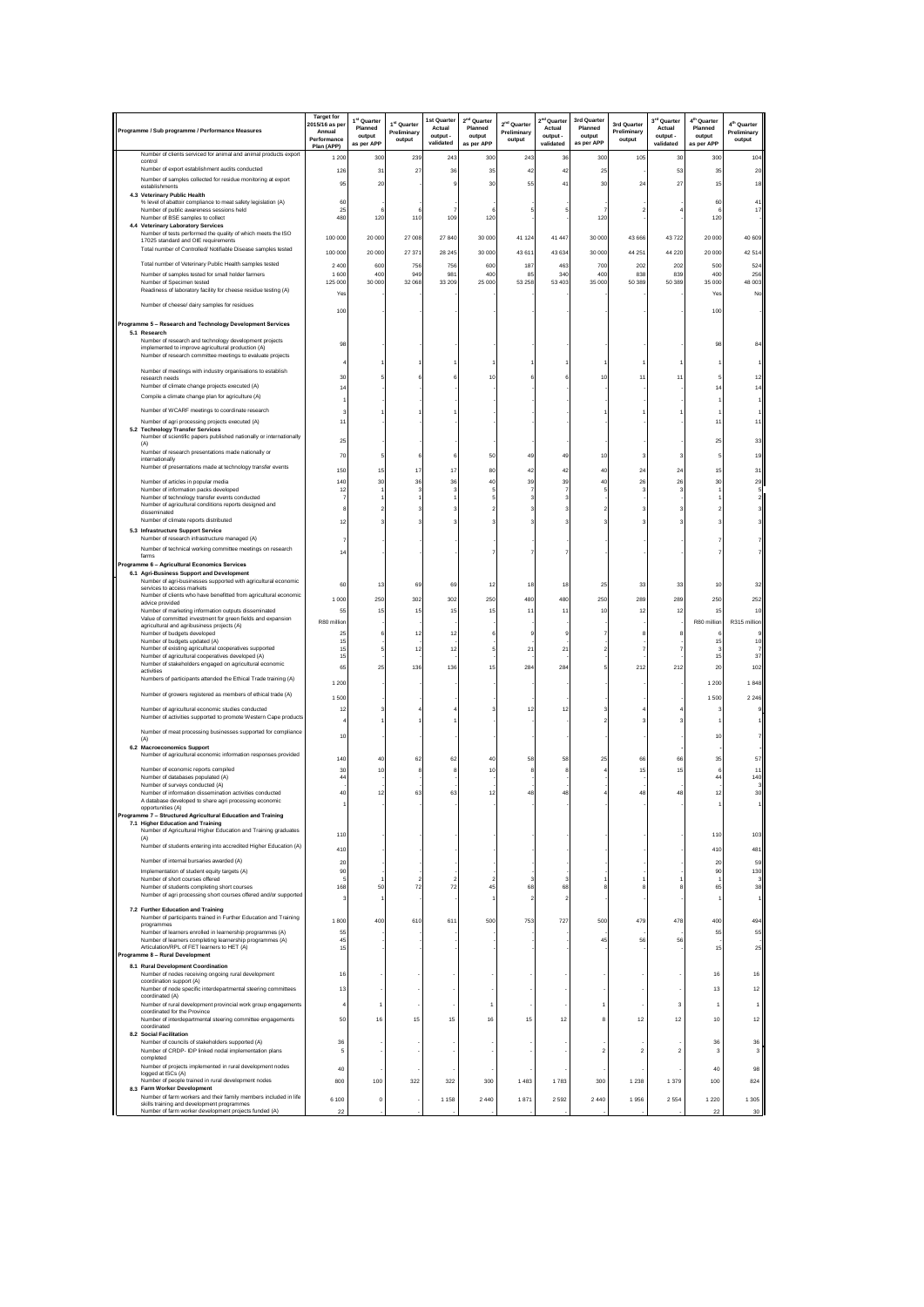| Programme / Sub programme / Performance Measures                                                                      | <b>Target for</b><br>2015/16 as pe<br>Annual<br>Performance<br>Plan (APP) | 1 <sup>st</sup> Quarter<br>Planned<br>output<br>as per APP | 1 <sup>st</sup> Quarter<br>Preliminary<br>output | 1st Quarter<br>Actual<br>output -<br>validated | 2 <sup>nd</sup> Quarter<br>Planned<br>output<br>as per APP | 2 <sup>nd</sup> Quarter<br>Preliminary<br>output | 2 <sup>nd</sup> Quarter<br>Actual<br>output -<br>validated | 3rd Quarter<br>Planned<br>output<br>as per APP | 3rd Quarter<br>Preliminary<br>output | 3 <sup>rd</sup> Quarter<br>Actual<br>output -<br>validated | 4 <sup>th</sup> Quarter<br>Planned<br>output<br>as per APP | 4 <sup>th</sup> Quarter<br>Preliminary<br>output |
|-----------------------------------------------------------------------------------------------------------------------|---------------------------------------------------------------------------|------------------------------------------------------------|--------------------------------------------------|------------------------------------------------|------------------------------------------------------------|--------------------------------------------------|------------------------------------------------------------|------------------------------------------------|--------------------------------------|------------------------------------------------------------|------------------------------------------------------------|--------------------------------------------------|
| Number of clients serviced for animal and animal products export<br>control                                           | 1 200                                                                     | 300                                                        | 239                                              | 243                                            | 300                                                        | 243                                              | 36                                                         | 300                                            | 105                                  | 30                                                         | 30                                                         | 104                                              |
| Number of export establishment audits conducted                                                                       | 126                                                                       | 3'                                                         | 27                                               | 36                                             | 35                                                         | 42                                               | 42                                                         | 25                                             |                                      | 53                                                         | 35                                                         | 20                                               |
| Number of samples collected for residue monitoring at export<br>establishments                                        | 95                                                                        | $\overline{2}$                                             |                                                  |                                                | 30                                                         | 55                                               | 41                                                         | 3 <sub>0</sub>                                 | $\overline{2}$                       | 27                                                         | 15                                                         | 18                                               |
| 4.3 Veterinary Public Health<br>% level of abattoir compliance to meat safety legislation (A)                         | 60                                                                        |                                                            |                                                  |                                                |                                                            |                                                  |                                                            |                                                |                                      |                                                            | 60                                                         | $\ddot{4}$                                       |
| Number of public awareness sessions held<br>Number of BSE samples to collect                                          | 25<br>480                                                                 | 120                                                        | 110                                              | 109                                            | 120                                                        |                                                  |                                                            | 120                                            |                                      |                                                            | 120                                                        | 17                                               |
| 4.4 Veterinary Laboratory Services                                                                                    |                                                                           |                                                            |                                                  |                                                |                                                            |                                                  |                                                            |                                                |                                      |                                                            |                                                            |                                                  |
| Number of tests performed the quality of which meets the ISO<br>17025 standard and OIE requirements                   | 100 000                                                                   | 20 000                                                     | 27 008                                           | 27 840                                         | 30 000                                                     | 41 124                                           | 41 447                                                     | 30 000                                         | 43 666                               | 43722                                                      | 20 000                                                     | 40 609                                           |
| Total number of Controlled/ Notifiable Disease samples tested                                                         | 100 000                                                                   | 20 000                                                     | 27 371                                           | 28 245                                         | 30 000                                                     | 43 611                                           | 43 634                                                     | 30 000                                         | 44 25                                | 44 220                                                     | 20 000                                                     | 42514                                            |
| Total number of Veterinary Public Health samples tested                                                               | 2400                                                                      | 600                                                        | 756<br>949                                       | 756                                            | 600                                                        | 187<br>85                                        | 463                                                        | 700                                            | 202                                  | 202                                                        | 50                                                         | 524                                              |
| Number of samples tested for small holder farmers<br>Number of Specimen tested                                        | 1 600<br>125 000                                                          | 400<br>30 000                                              | 32 068                                           | 981<br>33 209                                  | 400<br>25 000                                              | 53 258                                           | 340<br>53 403                                              | 400<br>35 000                                  | 838<br>50 389                        | 839<br>50 389                                              | 400<br>35 000                                              | 256<br>48 003                                    |
| Readiness of laboratory facility for cheese residue testing (A)                                                       | Yes                                                                       |                                                            |                                                  |                                                |                                                            |                                                  |                                                            |                                                |                                      |                                                            | Yes                                                        | No                                               |
| Number of cheese/ dairy samples for residues                                                                          | 100                                                                       |                                                            |                                                  |                                                |                                                            |                                                  |                                                            |                                                |                                      |                                                            | 100                                                        |                                                  |
| Programme 5 - Research and Technology Development Services                                                            |                                                                           |                                                            |                                                  |                                                |                                                            |                                                  |                                                            |                                                |                                      |                                                            |                                                            |                                                  |
| 5.1 Research<br>Number of research and technology development projects                                                |                                                                           |                                                            |                                                  |                                                |                                                            |                                                  |                                                            |                                                |                                      |                                                            |                                                            |                                                  |
| implemented to improve agricultural production (A)<br>Number of research committee meetings to evaluate projects      | 98                                                                        |                                                            |                                                  |                                                |                                                            |                                                  |                                                            |                                                |                                      |                                                            | 98                                                         |                                                  |
|                                                                                                                       |                                                                           |                                                            |                                                  |                                                |                                                            |                                                  |                                                            |                                                |                                      |                                                            |                                                            |                                                  |
| Number of meetings with industry organisations to establish<br>research needs                                         | 30                                                                        |                                                            |                                                  |                                                | 10                                                         |                                                  |                                                            |                                                | 11                                   |                                                            |                                                            |                                                  |
| Number of climate change projects executed (A)<br>Compile a climate change plan for agriculture (A)                   |                                                                           |                                                            |                                                  |                                                |                                                            |                                                  |                                                            |                                                |                                      |                                                            |                                                            |                                                  |
|                                                                                                                       |                                                                           |                                                            |                                                  |                                                |                                                            |                                                  |                                                            |                                                |                                      |                                                            |                                                            |                                                  |
| Number of WCARF meetings to coordinate research<br>Number of agri processing projects executed (A)                    | 11                                                                        |                                                            |                                                  |                                                |                                                            |                                                  |                                                            |                                                |                                      |                                                            |                                                            |                                                  |
| 5.2 Technology Transfer Services                                                                                      |                                                                           |                                                            |                                                  |                                                |                                                            |                                                  |                                                            |                                                |                                      |                                                            |                                                            |                                                  |
| Number of scientific papers published nationally or internationally<br>(A)                                            | 25                                                                        |                                                            |                                                  |                                                |                                                            |                                                  |                                                            |                                                |                                      |                                                            | 25                                                         |                                                  |
| Number of research presentations made nationally or<br>internationally                                                | 70                                                                        |                                                            |                                                  |                                                | 50                                                         | 49                                               | 49                                                         | 10                                             |                                      |                                                            |                                                            |                                                  |
| Number of presentations made at technology transfer events                                                            | 150                                                                       | 1:                                                         | 17                                               | 17                                             | 80                                                         | 42                                               | 42                                                         | 40                                             | 2 <sup>i</sup>                       | 24                                                         | 15                                                         |                                                  |
| Number of articles in popular media<br>Number of information packs developed                                          | 140<br>12                                                                 | 30                                                         | 36                                               | 36                                             | 40                                                         | 39                                               | 39                                                         | 40                                             | 26                                   | 26                                                         | 30                                                         | 29                                               |
| Number of technology transfer events conducted                                                                        |                                                                           |                                                            |                                                  |                                                |                                                            |                                                  |                                                            |                                                |                                      |                                                            |                                                            |                                                  |
| Number of agricultural conditions reports designed and<br>disseminated                                                |                                                                           |                                                            |                                                  |                                                |                                                            |                                                  |                                                            |                                                |                                      |                                                            |                                                            |                                                  |
| Number of climate reports distributed                                                                                 | 12                                                                        |                                                            |                                                  |                                                |                                                            |                                                  |                                                            |                                                |                                      |                                                            |                                                            |                                                  |
| 5.3 Infrastructure Support Service<br>Number of research infrastructure managed (A)                                   |                                                                           |                                                            |                                                  |                                                |                                                            |                                                  |                                                            |                                                |                                      |                                                            |                                                            |                                                  |
| Number of technical working committee meetings on research                                                            | 14                                                                        |                                                            |                                                  |                                                |                                                            |                                                  |                                                            |                                                |                                      |                                                            |                                                            |                                                  |
| farms<br>Programme 6 - Agricultural Economics Services                                                                |                                                                           |                                                            |                                                  |                                                |                                                            |                                                  |                                                            |                                                |                                      |                                                            |                                                            |                                                  |
| 6.1 Agri-Business Support and Development<br>Number of agri-businesses supported with agricultural economic           |                                                                           |                                                            |                                                  |                                                |                                                            |                                                  |                                                            |                                                |                                      |                                                            |                                                            |                                                  |
| services to access markets                                                                                            | 60                                                                        | 13                                                         | 69                                               | 69                                             | 12                                                         | 18                                               | 18                                                         | 25                                             | 33                                   | 33                                                         | 10                                                         | 32                                               |
| Number of clients who have benefitted from agricultural economic<br>advice provided                                   | 1 0 0 0                                                                   | 250                                                        | 302                                              | 302                                            | 250                                                        | 480                                              | 480                                                        | 250                                            | 289                                  | 289                                                        | 250                                                        | 252                                              |
| Number of marketing information outputs disseminated<br>Value of committed investment for green fields and expansion  | 55<br>R80 million                                                         | 15                                                         | 15                                               | 15                                             | 15                                                         | 11                                               | 11                                                         | 10                                             | 12                                   | 12                                                         | 15<br>R80 million                                          | 10<br>R315 million                               |
| agricultural and agribusiness projects (A)<br>Number of budgets developed                                             | 25                                                                        |                                                            | 12                                               | 12                                             |                                                            |                                                  |                                                            |                                                |                                      |                                                            |                                                            |                                                  |
| Number of budgets updated (A)                                                                                         | 15<br>15                                                                  |                                                            | 12                                               | 12                                             |                                                            | 21                                               | 21                                                         |                                                |                                      |                                                            | 15                                                         | 10                                               |
| Number of existing agricultural cooperatives supported<br>Number of agricultural cooperatives developed (A)           | 15                                                                        |                                                            |                                                  |                                                |                                                            |                                                  |                                                            |                                                |                                      |                                                            | 15                                                         | 37                                               |
| Number of stakeholders engaged on agricultural economic<br>activities                                                 | 65                                                                        | 25                                                         | 136                                              | 136                                            | 15                                                         | 284                                              | 284                                                        |                                                | 212                                  | 212                                                        | 20                                                         | 102                                              |
| Numbers of participants attended the Ethical Trade training (A)                                                       | 1 2 0 0                                                                   |                                                            |                                                  |                                                |                                                            |                                                  |                                                            |                                                |                                      |                                                            | 1 2 0 0                                                    | 1848                                             |
| Number of growers registered as members of ethical trade (A)                                                          | 1 500                                                                     |                                                            |                                                  |                                                |                                                            |                                                  |                                                            |                                                |                                      |                                                            | 1500                                                       | 2 2 4 6                                          |
| Number of agricultural economic studies conducted                                                                     | 12                                                                        |                                                            |                                                  |                                                |                                                            | 12                                               | 12                                                         |                                                |                                      |                                                            |                                                            |                                                  |
| Number of activities supported to promote Western Cape products                                                       |                                                                           |                                                            |                                                  |                                                |                                                            |                                                  |                                                            |                                                |                                      |                                                            |                                                            |                                                  |
| Number of meat processing businesses supported for compliance<br>(A)                                                  | 10                                                                        |                                                            |                                                  |                                                |                                                            |                                                  |                                                            |                                                |                                      |                                                            | 10                                                         |                                                  |
| 6.2 Macroeconomics Support<br>Number of agricultural economic information responses provided                          |                                                                           |                                                            |                                                  |                                                |                                                            |                                                  |                                                            |                                                |                                      |                                                            |                                                            |                                                  |
|                                                                                                                       | 140                                                                       | 4                                                          | 62                                               | 6.                                             | 4                                                          | 58                                               | 58                                                         |                                                | 6                                    | 66                                                         | 3                                                          |                                                  |
| Number of economic reports compiled<br>Number of databases populated (A)                                              | 30<br>4                                                                   | 10                                                         |                                                  |                                                | 10                                                         |                                                  |                                                            |                                                | 15                                   | 15                                                         | 44                                                         | 140                                              |
| Number of surveys conducted (A)<br>Number of information dissemination activities conducted                           | 40                                                                        | 12                                                         | 63                                               | 63                                             | 12                                                         | 48                                               | 48                                                         |                                                | 48                                   | 48                                                         | 12                                                         | 30                                               |
| A database developed to share agri processing economic<br>opportunities (A)                                           |                                                                           |                                                            |                                                  |                                                |                                                            |                                                  |                                                            |                                                |                                      |                                                            |                                                            |                                                  |
| Programme 7 - Structured Agricultural Education and Training                                                          |                                                                           |                                                            |                                                  |                                                |                                                            |                                                  |                                                            |                                                |                                      |                                                            |                                                            |                                                  |
| 7.1 Higher Education and Training<br>Number of Agricultural Higher Education and Training graduates                   | 110                                                                       |                                                            |                                                  |                                                |                                                            |                                                  |                                                            |                                                |                                      |                                                            | 110                                                        | 103                                              |
| (A)<br>Number of students entering into accredited Higher Education (A)                                               |                                                                           |                                                            |                                                  |                                                |                                                            |                                                  |                                                            |                                                |                                      |                                                            |                                                            |                                                  |
| Number of internal bursaries awarded (A)                                                                              | 410                                                                       |                                                            |                                                  |                                                |                                                            |                                                  |                                                            |                                                |                                      |                                                            | 410                                                        | 481                                              |
| Implementation of student equity targets (A)                                                                          | 20<br>90                                                                  |                                                            |                                                  |                                                |                                                            |                                                  |                                                            |                                                |                                      |                                                            | 20<br>90                                                   | 59<br>130                                        |
| Number of short courses offered<br>Number of students completing short courses                                        | 168                                                                       | 50                                                         | 72                                               | 72                                             | 45                                                         | 68                                               | 68                                                         |                                                |                                      |                                                            | 65                                                         | 38                                               |
| Number of agri processing short courses offered and/or supported                                                      |                                                                           |                                                            |                                                  |                                                |                                                            | $\overline{2}$                                   | $\overline{2}$                                             |                                                |                                      |                                                            |                                                            |                                                  |
| 7.2 Further Education and Training                                                                                    |                                                                           |                                                            |                                                  |                                                |                                                            |                                                  |                                                            |                                                |                                      |                                                            |                                                            |                                                  |
| Number of participants trained in Further Education and Training<br>programmes                                        | 1800                                                                      | 400                                                        | 610                                              | 611                                            | 500                                                        | 753                                              | 727                                                        | 500                                            | 479                                  | 478                                                        | 400                                                        | 494                                              |
| Number of learners enrolled in learnership programmes (A)<br>Number of learners completing learnership programmes (A) | 55<br>45                                                                  |                                                            |                                                  |                                                |                                                            |                                                  |                                                            | 45                                             | 56                                   | 56                                                         | 55                                                         | 55                                               |
| Articulation/RPL of FET learners to HET (A)<br>Programme 8 - Rural Development                                        | 15                                                                        |                                                            |                                                  |                                                |                                                            |                                                  |                                                            |                                                |                                      |                                                            | 15                                                         | 25                                               |
| 8.1 Rural Development Coordination                                                                                    |                                                                           |                                                            |                                                  |                                                |                                                            |                                                  |                                                            |                                                |                                      |                                                            |                                                            |                                                  |
| Number of nodes receiving ongoing rural development<br>coordination support (A)                                       | 16                                                                        |                                                            |                                                  |                                                |                                                            |                                                  |                                                            |                                                |                                      |                                                            | 16                                                         | 16                                               |
| Number of node specific interdepartmental steering committees                                                         | 13                                                                        |                                                            |                                                  |                                                |                                                            |                                                  |                                                            |                                                |                                      |                                                            | 13                                                         | 12                                               |
| coordinated (A)<br>Number of rural development provincial work group engagements                                      |                                                                           |                                                            |                                                  |                                                | 1                                                          |                                                  |                                                            |                                                |                                      | 3                                                          | -1                                                         | $\overline{1}$                                   |
| coordinated for the Province<br>Number of interdepartmental steering committee engagements                            | 50                                                                        | 16                                                         | 15                                               | 15                                             | 16                                                         | 15                                               | 12                                                         | 8                                              | 12                                   | 12                                                         | 10                                                         | 12                                               |
| coordinated<br>8.2 Social Facilitation                                                                                |                                                                           |                                                            |                                                  |                                                |                                                            |                                                  |                                                            |                                                |                                      |                                                            |                                                            |                                                  |
| Number of councils of stakeholders supported (A)                                                                      | 36                                                                        |                                                            |                                                  |                                                |                                                            |                                                  |                                                            |                                                |                                      |                                                            | 36                                                         | 36                                               |
| Number of CRDP- IDP linked nodal implementation plans<br>completed                                                    | 5                                                                         |                                                            |                                                  |                                                |                                                            |                                                  |                                                            | $\overline{2}$                                 | $\overline{2}$                       | $\overline{2}$                                             | 3                                                          | 3                                                |
| Number of projects implemented in rural development nodes<br>logged at ISCs (A)                                       | 40                                                                        |                                                            |                                                  |                                                |                                                            |                                                  |                                                            |                                                |                                      |                                                            | 40                                                         | 98                                               |
| Number of people trained in rural development nodes<br>8.3 Farm Worker Development                                    | 800                                                                       | 100                                                        | 322                                              | 322                                            | 300                                                        | 1483                                             | 1783                                                       | 300                                            | 1 2 3 8                              | 1 3 7 9                                                    | 100                                                        | 824                                              |
| Number of farm workers and their family members included in life                                                      | 6 100                                                                     | $^{\circ}$                                                 |                                                  | 1 1 5 8                                        | 2440                                                       | 1871                                             | 2592                                                       | 2 4 4 0                                        | 1956                                 | 2 5 5 4                                                    | 1 2 2 0                                                    | 1 3 0 5                                          |
| skills training and development programmes<br>Number of farm worker development projects funded (A)                   | 22                                                                        |                                                            |                                                  |                                                |                                                            |                                                  |                                                            |                                                |                                      |                                                            | 22                                                         | 30                                               |